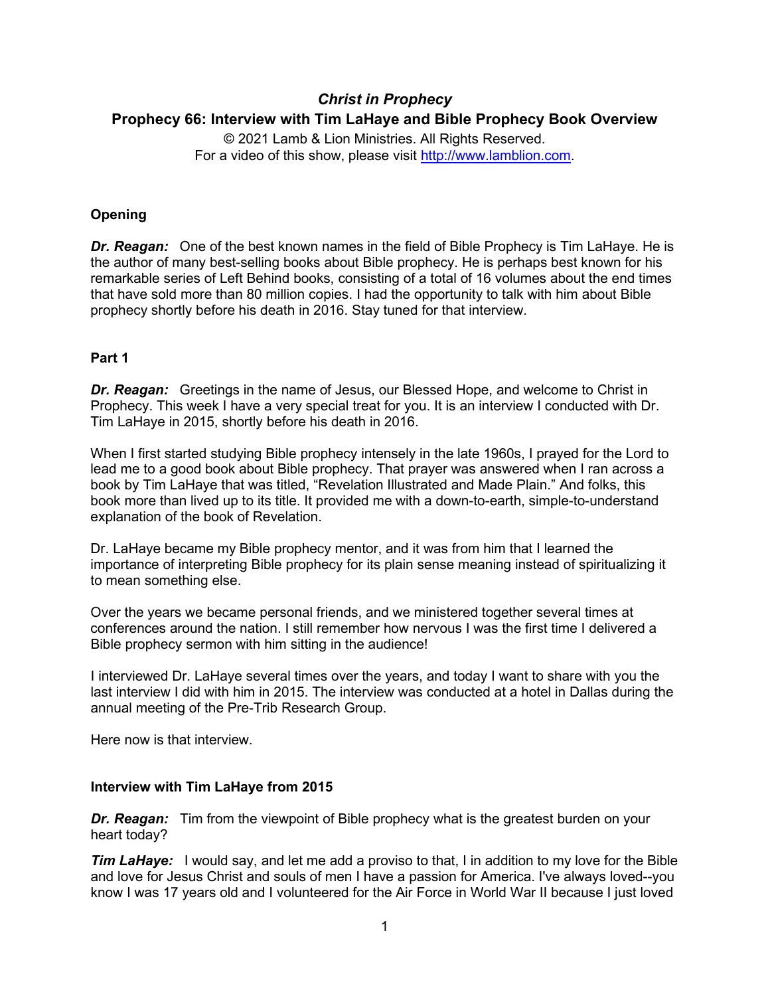# *Christ in Prophecy* **Prophecy 66: Interview with Tim LaHaye and Bible Prophecy Book Overview**

© 2021 Lamb & Lion Ministries. All Rights Reserved. For a video of this show, please visit [http://www.lamblion.com.](http://www.lamblion.com/)

# **Opening**

*Dr. Reagan:* One of the best known names in the field of Bible Prophecy is Tim LaHaye. He is the author of many best-selling books about Bible prophecy. He is perhaps best known for his remarkable series of Left Behind books, consisting of a total of 16 volumes about the end times that have sold more than 80 million copies. I had the opportunity to talk with him about Bible prophecy shortly before his death in 2016. Stay tuned for that interview.

# **Part 1**

*Dr. Reagan:* Greetings in the name of Jesus, our Blessed Hope, and welcome to Christ in Prophecy. This week I have a very special treat for you. It is an interview I conducted with Dr. Tim LaHaye in 2015, shortly before his death in 2016.

When I first started studying Bible prophecy intensely in the late 1960s, I prayed for the Lord to lead me to a good book about Bible prophecy. That prayer was answered when I ran across a book by Tim LaHaye that was titled, "Revelation Illustrated and Made Plain." And folks, this book more than lived up to its title. It provided me with a down-to-earth, simple-to-understand explanation of the book of Revelation.

Dr. LaHaye became my Bible prophecy mentor, and it was from him that I learned the importance of interpreting Bible prophecy for its plain sense meaning instead of spiritualizing it to mean something else.

Over the years we became personal friends, and we ministered together several times at conferences around the nation. I still remember how nervous I was the first time I delivered a Bible prophecy sermon with him sitting in the audience!

I interviewed Dr. LaHaye several times over the years, and today I want to share with you the last interview I did with him in 2015. The interview was conducted at a hotel in Dallas during the annual meeting of the Pre-Trib Research Group.

Here now is that interview.

#### **Interview with Tim LaHaye from 2015**

*Dr. Reagan:* Tim from the viewpoint of Bible prophecy what is the greatest burden on your heart today?

*Tim LaHaye:* I would say, and let me add a proviso to that, I in addition to my love for the Bible and love for Jesus Christ and souls of men I have a passion for America. I've always loved--you know I was 17 years old and I volunteered for the Air Force in World War II because I just loved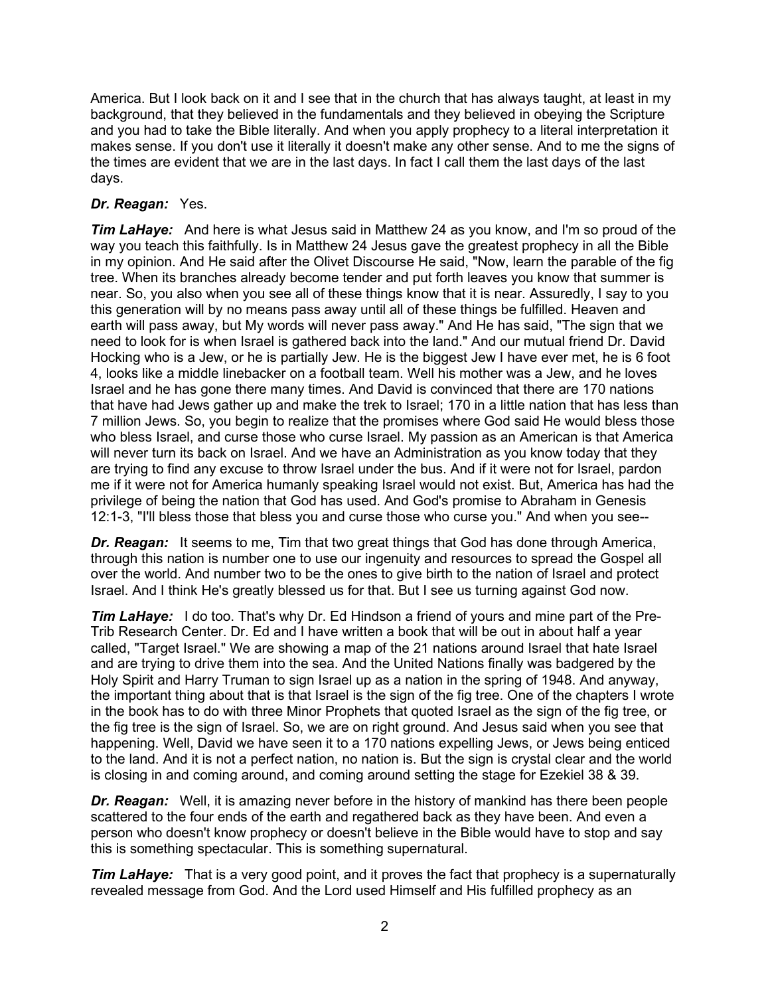America. But I look back on it and I see that in the church that has always taught, at least in my background, that they believed in the fundamentals and they believed in obeying the Scripture and you had to take the Bible literally. And when you apply prophecy to a literal interpretation it makes sense. If you don't use it literally it doesn't make any other sense. And to me the signs of the times are evident that we are in the last days. In fact I call them the last days of the last days.

# *Dr. Reagan:* Yes.

*Tim LaHaye:* And here is what Jesus said in Matthew 24 as you know, and I'm so proud of the way you teach this faithfully. Is in Matthew 24 Jesus gave the greatest prophecy in all the Bible in my opinion. And He said after the Olivet Discourse He said, "Now, learn the parable of the fig tree. When its branches already become tender and put forth leaves you know that summer is near. So, you also when you see all of these things know that it is near. Assuredly, I say to you this generation will by no means pass away until all of these things be fulfilled. Heaven and earth will pass away, but My words will never pass away." And He has said, "The sign that we need to look for is when Israel is gathered back into the land." And our mutual friend Dr. David Hocking who is a Jew, or he is partially Jew. He is the biggest Jew I have ever met, he is 6 foot 4, looks like a middle linebacker on a football team. Well his mother was a Jew, and he loves Israel and he has gone there many times. And David is convinced that there are 170 nations that have had Jews gather up and make the trek to Israel; 170 in a little nation that has less than 7 million Jews. So, you begin to realize that the promises where God said He would bless those who bless Israel, and curse those who curse Israel. My passion as an American is that America will never turn its back on Israel. And we have an Administration as you know today that they are trying to find any excuse to throw Israel under the bus. And if it were not for Israel, pardon me if it were not for America humanly speaking Israel would not exist. But, America has had the privilege of being the nation that God has used. And God's promise to Abraham in Genesis 12:1-3, "I'll bless those that bless you and curse those who curse you." And when you see--

*Dr. Reagan:* It seems to me, Tim that two great things that God has done through America, through this nation is number one to use our ingenuity and resources to spread the Gospel all over the world. And number two to be the ones to give birth to the nation of Israel and protect Israel. And I think He's greatly blessed us for that. But I see us turning against God now.

*Tim LaHaye:* I do too. That's why Dr. Ed Hindson a friend of yours and mine part of the Pre-Trib Research Center. Dr. Ed and I have written a book that will be out in about half a year called, "Target Israel." We are showing a map of the 21 nations around Israel that hate Israel and are trying to drive them into the sea. And the United Nations finally was badgered by the Holy Spirit and Harry Truman to sign Israel up as a nation in the spring of 1948. And anyway, the important thing about that is that Israel is the sign of the fig tree. One of the chapters I wrote in the book has to do with three Minor Prophets that quoted Israel as the sign of the fig tree, or the fig tree is the sign of Israel. So, we are on right ground. And Jesus said when you see that happening. Well, David we have seen it to a 170 nations expelling Jews, or Jews being enticed to the land. And it is not a perfect nation, no nation is. But the sign is crystal clear and the world is closing in and coming around, and coming around setting the stage for Ezekiel 38 & 39.

**Dr. Reagan:** Well, it is amazing never before in the history of mankind has there been people scattered to the four ends of the earth and regathered back as they have been. And even a person who doesn't know prophecy or doesn't believe in the Bible would have to stop and say this is something spectacular. This is something supernatural.

*Tim LaHaye:* That is a very good point, and it proves the fact that prophecy is a supernaturally revealed message from God. And the Lord used Himself and His fulfilled prophecy as an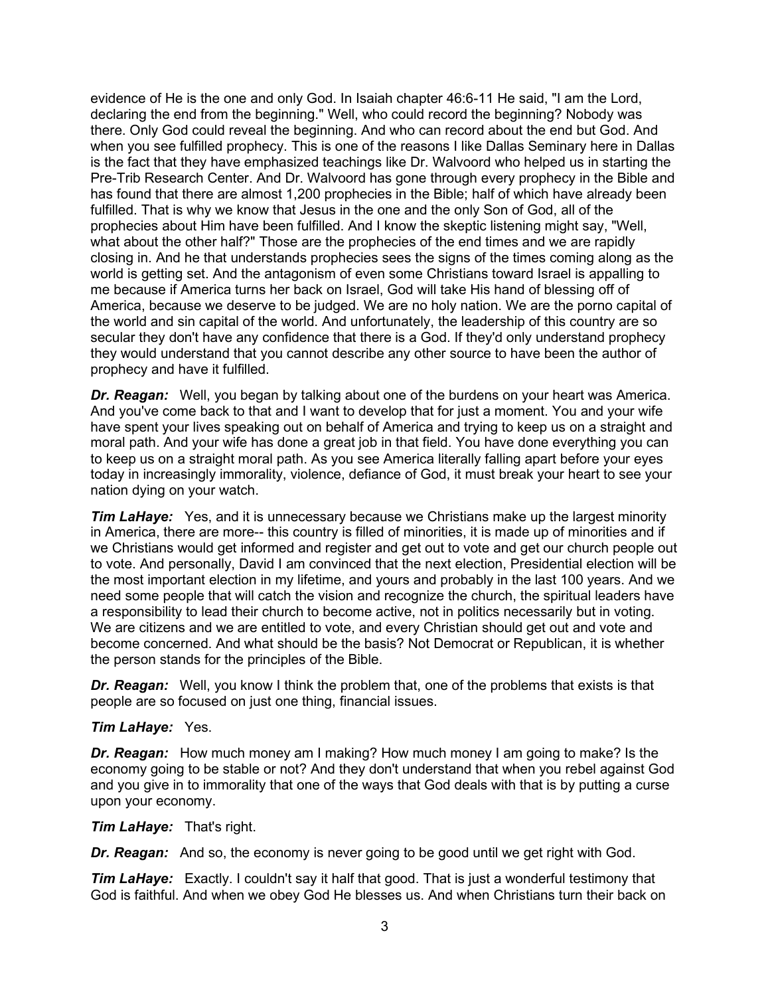evidence of He is the one and only God. In Isaiah chapter 46:6-11 He said, "I am the Lord, declaring the end from the beginning." Well, who could record the beginning? Nobody was there. Only God could reveal the beginning. And who can record about the end but God. And when you see fulfilled prophecy. This is one of the reasons I like Dallas Seminary here in Dallas is the fact that they have emphasized teachings like Dr. Walvoord who helped us in starting the Pre-Trib Research Center. And Dr. Walvoord has gone through every prophecy in the Bible and has found that there are almost 1,200 prophecies in the Bible; half of which have already been fulfilled. That is why we know that Jesus in the one and the only Son of God, all of the prophecies about Him have been fulfilled. And I know the skeptic listening might say, "Well, what about the other half?" Those are the prophecies of the end times and we are rapidly closing in. And he that understands prophecies sees the signs of the times coming along as the world is getting set. And the antagonism of even some Christians toward Israel is appalling to me because if America turns her back on Israel, God will take His hand of blessing off of America, because we deserve to be judged. We are no holy nation. We are the porno capital of the world and sin capital of the world. And unfortunately, the leadership of this country are so secular they don't have any confidence that there is a God. If they'd only understand prophecy they would understand that you cannot describe any other source to have been the author of prophecy and have it fulfilled.

*Dr. Reagan:* Well, you began by talking about one of the burdens on your heart was America. And you've come back to that and I want to develop that for just a moment. You and your wife have spent your lives speaking out on behalf of America and trying to keep us on a straight and moral path. And your wife has done a great job in that field. You have done everything you can to keep us on a straight moral path. As you see America literally falling apart before your eyes today in increasingly immorality, violence, defiance of God, it must break your heart to see your nation dying on your watch.

*Tim LaHaye:* Yes, and it is unnecessary because we Christians make up the largest minority in America, there are more-- this country is filled of minorities, it is made up of minorities and if we Christians would get informed and register and get out to vote and get our church people out to vote. And personally, David I am convinced that the next election, Presidential election will be the most important election in my lifetime, and yours and probably in the last 100 years. And we need some people that will catch the vision and recognize the church, the spiritual leaders have a responsibility to lead their church to become active, not in politics necessarily but in voting. We are citizens and we are entitled to vote, and every Christian should get out and vote and become concerned. And what should be the basis? Not Democrat or Republican, it is whether the person stands for the principles of the Bible.

*Dr. Reagan:* Well, you know I think the problem that, one of the problems that exists is that people are so focused on just one thing, financial issues.

#### *Tim LaHaye:* Yes.

*Dr. Reagan:* How much money am I making? How much money I am going to make? Is the economy going to be stable or not? And they don't understand that when you rebel against God and you give in to immorality that one of the ways that God deals with that is by putting a curse upon your economy.

*Tim LaHaye:* That's right.

*Dr. Reagan:* And so, the economy is never going to be good until we get right with God.

**Tim LaHaye:** Exactly. I couldn't say it half that good. That is just a wonderful testimony that God is faithful. And when we obey God He blesses us. And when Christians turn their back on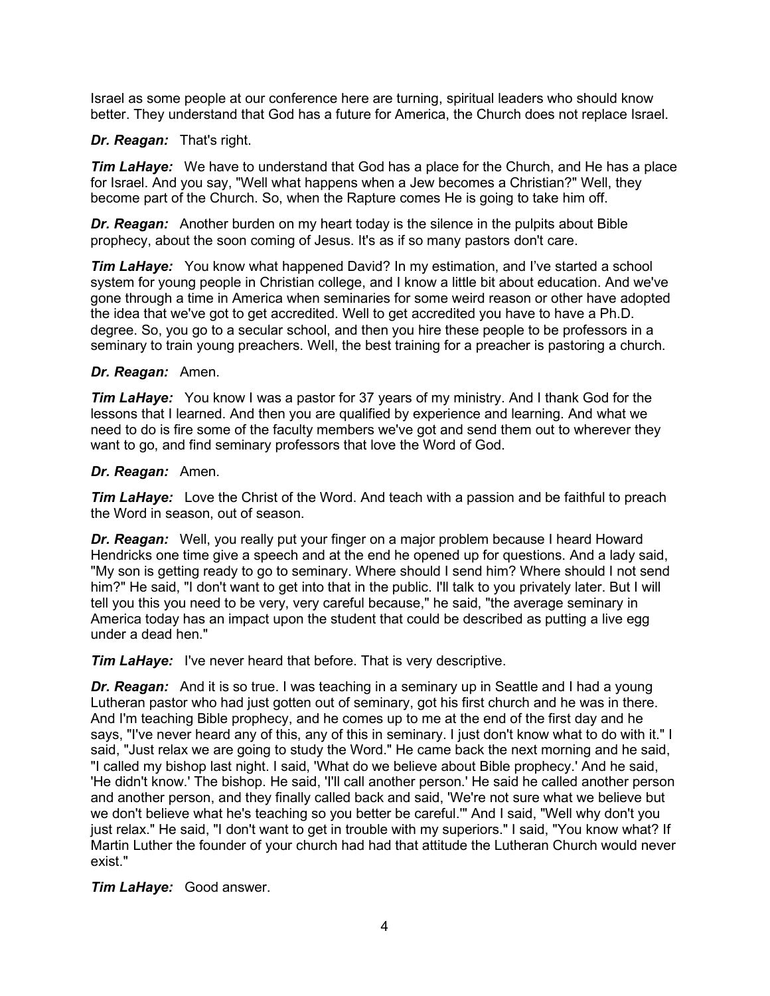Israel as some people at our conference here are turning, spiritual leaders who should know better. They understand that God has a future for America, the Church does not replace Israel.

## *Dr. Reagan:* That's right.

*Tim LaHaye:* We have to understand that God has a place for the Church, and He has a place for Israel. And you say, "Well what happens when a Jew becomes a Christian?" Well, they become part of the Church. So, when the Rapture comes He is going to take him off.

*Dr. Reagan:* Another burden on my heart today is the silence in the pulpits about Bible prophecy, about the soon coming of Jesus. It's as if so many pastors don't care.

*Tim LaHaye:* You know what happened David? In my estimation, and I've started a school system for young people in Christian college, and I know a little bit about education. And we've gone through a time in America when seminaries for some weird reason or other have adopted the idea that we've got to get accredited. Well to get accredited you have to have a Ph.D. degree. So, you go to a secular school, and then you hire these people to be professors in a seminary to train young preachers. Well, the best training for a preacher is pastoring a church.

## *Dr. Reagan:* Amen.

*Tim LaHaye:* You know I was a pastor for 37 years of my ministry. And I thank God for the lessons that I learned. And then you are qualified by experience and learning. And what we need to do is fire some of the faculty members we've got and send them out to wherever they want to go, and find seminary professors that love the Word of God.

## *Dr. Reagan:* Amen.

*Tim LaHaye:* Love the Christ of the Word. And teach with a passion and be faithful to preach the Word in season, out of season.

*Dr. Reagan:* Well, you really put your finger on a major problem because I heard Howard Hendricks one time give a speech and at the end he opened up for questions. And a lady said, "My son is getting ready to go to seminary. Where should I send him? Where should I not send him?" He said, "I don't want to get into that in the public. I'll talk to you privately later. But I will tell you this you need to be very, very careful because," he said, "the average seminary in America today has an impact upon the student that could be described as putting a live egg under a dead hen."

*Tim LaHaye:* I've never heard that before. That is very descriptive.

*Dr. Reagan:* And it is so true. I was teaching in a seminary up in Seattle and I had a young Lutheran pastor who had just gotten out of seminary, got his first church and he was in there. And I'm teaching Bible prophecy, and he comes up to me at the end of the first day and he says, "I've never heard any of this, any of this in seminary. I just don't know what to do with it." I said, "Just relax we are going to study the Word." He came back the next morning and he said, "I called my bishop last night. I said, 'What do we believe about Bible prophecy.' And he said, 'He didn't know.' The bishop. He said, 'I'll call another person.' He said he called another person and another person, and they finally called back and said, 'We're not sure what we believe but we don't believe what he's teaching so you better be careful.'" And I said, "Well why don't you just relax." He said, "I don't want to get in trouble with my superiors." I said, "You know what? If Martin Luther the founder of your church had had that attitude the Lutheran Church would never exist."

# *Tim LaHaye:* Good answer.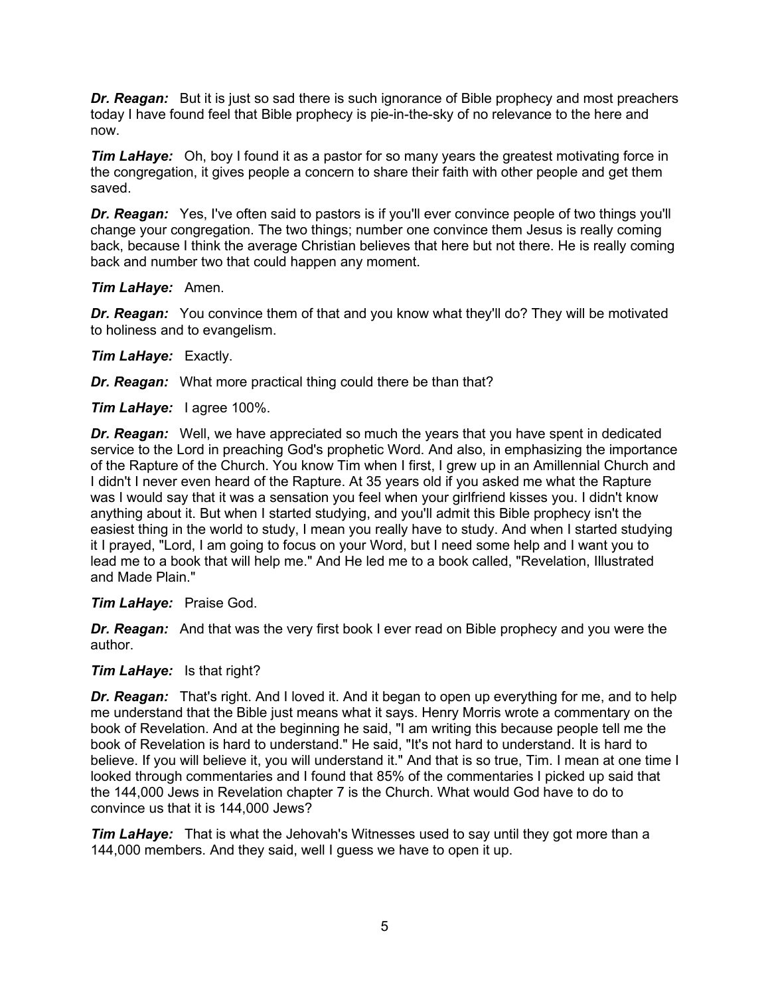**Dr. Reagan:** But it is just so sad there is such janorance of Bible prophecy and most preachers today I have found feel that Bible prophecy is pie-in-the-sky of no relevance to the here and now.

*Tim LaHaye:* Oh, boy I found it as a pastor for so many years the greatest motivating force in the congregation, it gives people a concern to share their faith with other people and get them saved.

**Dr. Reagan:** Yes, I've often said to pastors is if you'll ever convince people of two things you'll change your congregation. The two things; number one convince them Jesus is really coming back, because I think the average Christian believes that here but not there. He is really coming back and number two that could happen any moment.

## *Tim LaHaye:* Amen.

*Dr. Reagan:* You convince them of that and you know what they'll do? They will be motivated to holiness and to evangelism.

# *Tim LaHaye:* Exactly.

*Dr. Reagan:* What more practical thing could there be than that?

*Tim LaHaye:* I agree 100%.

*Dr. Reagan:* Well, we have appreciated so much the years that you have spent in dedicated service to the Lord in preaching God's prophetic Word. And also, in emphasizing the importance of the Rapture of the Church. You know Tim when I first, I grew up in an Amillennial Church and I didn't I never even heard of the Rapture. At 35 years old if you asked me what the Rapture was I would say that it was a sensation you feel when your girlfriend kisses you. I didn't know anything about it. But when I started studying, and you'll admit this Bible prophecy isn't the easiest thing in the world to study, I mean you really have to study. And when I started studying it I prayed, "Lord, I am going to focus on your Word, but I need some help and I want you to lead me to a book that will help me." And He led me to a book called, "Revelation, Illustrated and Made Plain."

#### *Tim LaHaye:* Praise God.

*Dr. Reagan:* And that was the very first book I ever read on Bible prophecy and you were the author.

#### *Tim LaHaye:* Is that right?

*Dr. Reagan:* That's right. And I loved it. And it began to open up everything for me, and to help me understand that the Bible just means what it says. Henry Morris wrote a commentary on the book of Revelation. And at the beginning he said, "I am writing this because people tell me the book of Revelation is hard to understand." He said, "It's not hard to understand. It is hard to believe. If you will believe it, you will understand it." And that is so true, Tim. I mean at one time I looked through commentaries and I found that 85% of the commentaries I picked up said that the 144,000 Jews in Revelation chapter 7 is the Church. What would God have to do to convince us that it is 144,000 Jews?

*Tim LaHaye:* That is what the Jehovah's Witnesses used to say until they got more than a 144,000 members. And they said, well I guess we have to open it up.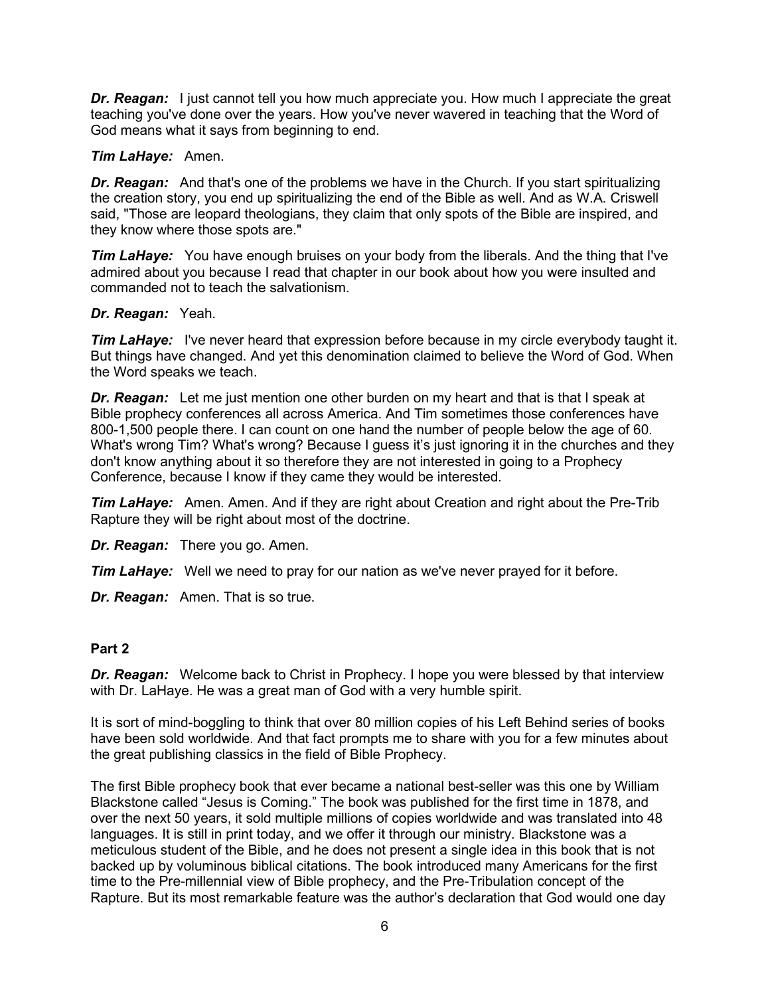*Dr. Reagan:* I just cannot tell you how much appreciate you. How much I appreciate the great teaching you've done over the years. How you've never wavered in teaching that the Word of God means what it says from beginning to end.

## *Tim LaHaye:* Amen.

*Dr. Reagan:* And that's one of the problems we have in the Church. If you start spiritualizing the creation story, you end up spiritualizing the end of the Bible as well. And as W.A. Criswell said, "Those are leopard theologians, they claim that only spots of the Bible are inspired, and they know where those spots are."

*Tim LaHaye:* You have enough bruises on your body from the liberals. And the thing that I've admired about you because I read that chapter in our book about how you were insulted and commanded not to teach the salvationism.

## *Dr. Reagan:* Yeah.

*Tim LaHaye:* I've never heard that expression before because in my circle everybody taught it. But things have changed. And yet this denomination claimed to believe the Word of God. When the Word speaks we teach.

*Dr. Reagan:* Let me just mention one other burden on my heart and that is that I speak at Bible prophecy conferences all across America. And Tim sometimes those conferences have 800-1,500 people there. I can count on one hand the number of people below the age of 60. What's wrong Tim? What's wrong? Because I guess it's just ignoring it in the churches and they don't know anything about it so therefore they are not interested in going to a Prophecy Conference, because I know if they came they would be interested.

*Tim LaHaye:* Amen. Amen. And if they are right about Creation and right about the Pre-Trib Rapture they will be right about most of the doctrine.

*Dr. Reagan:* There you go. Amen.

*Tim LaHaye:* Well we need to pray for our nation as we've never prayed for it before.

*Dr. Reagan:* Amen. That is so true.

#### **Part 2**

*Dr. Reagan:* Welcome back to Christ in Prophecy. I hope you were blessed by that interview with Dr. LaHaye. He was a great man of God with a very humble spirit.

It is sort of mind-boggling to think that over 80 million copies of his Left Behind series of books have been sold worldwide. And that fact prompts me to share with you for a few minutes about the great publishing classics in the field of Bible Prophecy.

The first Bible prophecy book that ever became a national best-seller was this one by William Blackstone called "Jesus is Coming." The book was published for the first time in 1878, and over the next 50 years, it sold multiple millions of copies worldwide and was translated into 48 languages. It is still in print today, and we offer it through our ministry. Blackstone was a meticulous student of the Bible, and he does not present a single idea in this book that is not backed up by voluminous biblical citations. The book introduced many Americans for the first time to the Pre-millennial view of Bible prophecy, and the Pre-Tribulation concept of the Rapture. But its most remarkable feature was the author's declaration that God would one day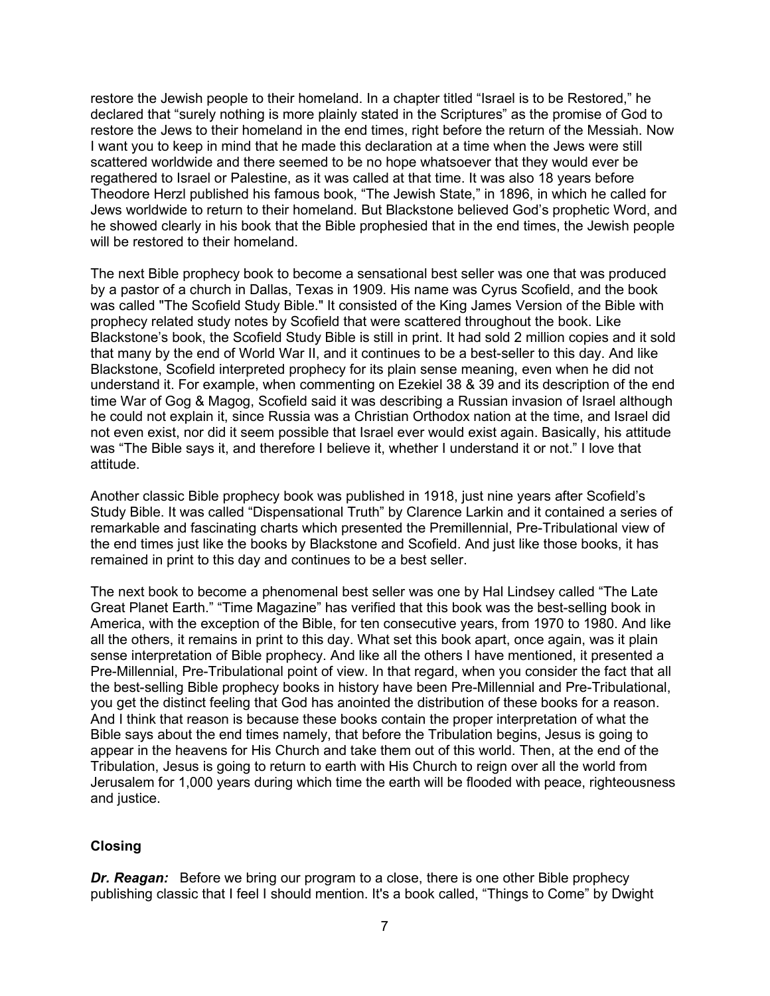restore the Jewish people to their homeland. In a chapter titled "Israel is to be Restored," he declared that "surely nothing is more plainly stated in the Scriptures" as the promise of God to restore the Jews to their homeland in the end times, right before the return of the Messiah. Now I want you to keep in mind that he made this declaration at a time when the Jews were still scattered worldwide and there seemed to be no hope whatsoever that they would ever be regathered to Israel or Palestine, as it was called at that time. It was also 18 years before Theodore Herzl published his famous book, "The Jewish State," in 1896, in which he called for Jews worldwide to return to their homeland. But Blackstone believed God's prophetic Word, and he showed clearly in his book that the Bible prophesied that in the end times, the Jewish people will be restored to their homeland.

The next Bible prophecy book to become a sensational best seller was one that was produced by a pastor of a church in Dallas, Texas in 1909. His name was Cyrus Scofield, and the book was called "The Scofield Study Bible." It consisted of the King James Version of the Bible with prophecy related study notes by Scofield that were scattered throughout the book. Like Blackstone's book, the Scofield Study Bible is still in print. It had sold 2 million copies and it sold that many by the end of World War II, and it continues to be a best-seller to this day. And like Blackstone, Scofield interpreted prophecy for its plain sense meaning, even when he did not understand it. For example, when commenting on Ezekiel 38 & 39 and its description of the end time War of Gog & Magog, Scofield said it was describing a Russian invasion of Israel although he could not explain it, since Russia was a Christian Orthodox nation at the time, and Israel did not even exist, nor did it seem possible that Israel ever would exist again. Basically, his attitude was "The Bible says it, and therefore I believe it, whether I understand it or not." I love that attitude.

Another classic Bible prophecy book was published in 1918, just nine years after Scofield's Study Bible. It was called "Dispensational Truth" by Clarence Larkin and it contained a series of remarkable and fascinating charts which presented the Premillennial, Pre-Tribulational view of the end times just like the books by Blackstone and Scofield. And just like those books, it has remained in print to this day and continues to be a best seller.

The next book to become a phenomenal best seller was one by Hal Lindsey called "The Late Great Planet Earth." "Time Magazine" has verified that this book was the best-selling book in America, with the exception of the Bible, for ten consecutive years, from 1970 to 1980. And like all the others, it remains in print to this day. What set this book apart, once again, was it plain sense interpretation of Bible prophecy. And like all the others I have mentioned, it presented a Pre-Millennial, Pre-Tribulational point of view. In that regard, when you consider the fact that all the best-selling Bible prophecy books in history have been Pre-Millennial and Pre-Tribulational, you get the distinct feeling that God has anointed the distribution of these books for a reason. And I think that reason is because these books contain the proper interpretation of what the Bible says about the end times namely, that before the Tribulation begins, Jesus is going to appear in the heavens for His Church and take them out of this world. Then, at the end of the Tribulation, Jesus is going to return to earth with His Church to reign over all the world from Jerusalem for 1,000 years during which time the earth will be flooded with peace, righteousness and justice.

# **Closing**

*Dr. Reagan:* Before we bring our program to a close, there is one other Bible prophecy publishing classic that I feel I should mention. It's a book called, "Things to Come" by Dwight